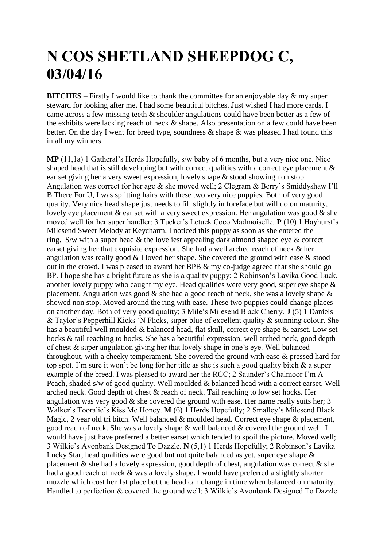## **N COS SHETLAND SHEEPDOG C, 03/04/16**

**BITCHES** – Firstly I would like to thank the committee for an enjoyable day & my super steward for looking after me. I had some beautiful bitches. Just wished I had more cards. I came across a few missing teeth & shoulder angulations could have been better as a few of the exhibits were lacking reach of neck & shape. Also presentation on a few could have been better. On the day I went for breed type, soundness & shape & was pleased I had found this in all my winners.

**MP** (11,1a) 1 Gatheral's Herds Hopefully, s/w baby of 6 months, but a very nice one. Nice shaped head that is still developing but with correct qualities with a correct eve placement  $\&$ ear set giving her a very sweet expression, lovely shape & stood showing non stop. Angulation was correct for her age & she moved well; 2 Clegram & Berry's Smiddyshaw I'll B There For U, I was splitting hairs with these two very nice puppies. Both of very good quality. Very nice head shape just needs to fill slightly in foreface but will do on maturity, lovely eye placement  $\&$  ear set with a very sweet expression. Her angulation was good  $\&$  she moved well for her super handler; 3 Tucker's Letuck Coco Madmoiselle. **P** (10) 1 Hayhurst's Milesend Sweet Melody at Keycharm, I noticed this puppy as soon as she entered the ring. S/w with a super head & the loveliest appealing dark almond shaped eye & correct earset giving her that exquisite expression. She had a well arched reach of neck & her angulation was really good & I loved her shape. She covered the ground with ease & stood out in the crowd. I was pleased to award her BPB & my co-judge agreed that she should go BP. I hope she has a bright future as she is a quality puppy; 2 Robinson's Lavika Good Luck, another lovely puppy who caught my eye. Head qualities were very good, super eye shape & placement. Angulation was good  $\&$  she had a good reach of neck, she was a lovely shape  $\&$ showed non stop. Moved around the ring with ease. These two puppies could change places on another day. Both of very good quality; 3 Mile's Milesend Black Cherry. **J** (5) 1 Daniels & Taylor's Pepperhill Kicks 'N Flicks, super blue of excellent quality & stunning colour. She has a beautiful well moulded & balanced head, flat skull, correct eye shape & earset. Low set hocks & tail reaching to hocks. She has a beautiful expression, well arched neck, good depth of chest & super angulation giving her that lovely shape in one's eye. Well balanced throughout, with a cheeky temperament. She covered the ground with ease & pressed hard for top spot. I'm sure it won't be long for her title as she is such a good quality bitch & a super example of the breed. I was pleased to award her the RCC; 2 Saunder's Chalmoor I'm A Peach, shaded s/w of good quality. Well moulded & balanced head with a correct earset. Well arched neck. Good depth of chest & reach of neck. Tail reaching to low set hocks. Her angulation was very good  $\&$  she covered the ground with ease. Her name really suits her; 3 Walker's Tooralie's Kiss Me Honey. **M** (6) 1 Herds Hopefully; 2 Smalley's Milesend Black Magic, 2 year old tri bitch. Well balanced & moulded head. Correct eye shape & placement, good reach of neck. She was a lovely shape & well balanced & covered the ground well. I would have just have preferred a better earset which tended to spoil the picture. Moved well; 3 Wilkie's Avonbank Designed To Dazzle. **N** (5,1) 1 Herds Hopefully; 2 Robinson's Lavika Lucky Star, head qualities were good but not quite balanced as yet, super eye shape  $\&$ placement  $\&$  she had a lovely expression, good depth of chest, angulation was correct  $\&$  she had a good reach of neck & was a lovely shape. I would have preferred a slightly shorter muzzle which cost her 1st place but the head can change in time when balanced on maturity. Handled to perfection & covered the ground well; 3 Wilkie's Avonbank Designed To Dazzle.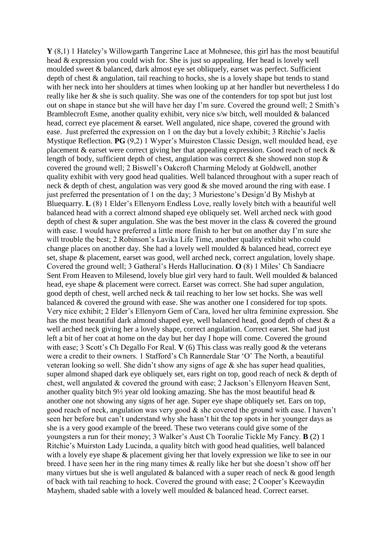**Y** (8,1) 1 Hateley's Willowgarth Tangerine Lace at Mohnesee, this girl has the most beautiful head & expression you could wish for. She is just so appealing. Her head is lovely well moulded sweet & balanced, dark almost eye set obliquely, earset was perfect. Sufficient depth of chest & angulation, tail reaching to hocks, she is a lovely shape but tends to stand with her neck into her shoulders at times when looking up at her handler but nevertheless I do really like her & she is such quality. She was one of the contenders for top spot but just lost out on shape in stance but she will have her day I'm sure. Covered the ground well; 2 Smith's Bramblecroft Esme, another quality exhibit, very nice s/w bitch, well moulded & balanced head, correct eye placement & earset. Well angulated, nice shape, covered the ground with ease. Just preferred the expression on 1 on the day but a lovely exhibit; 3 Ritchie's Jaelis Mystique Reflection. **PG** (9,2) 1 Wyper's Muireston Classic Design, well moulded head, eye placement & earset were correct giving her that appealing expression. Good reach of neck & length of body, sufficient depth of chest, angulation was correct  $\&$  she showed non stop  $\&$ covered the ground well; 2 Biswell's Oakcroft Charming Melody at Goldwell, another quality exhibit with very good head qualities. Well balanced throughout with a super reach of neck & depth of chest, angulation was very good & she moved around the ring with ease. I just preferred the presentation of 1 on the day; 3 Muriestone's Design'd By Mishyb at Bluequarry. **L** (8) 1 Elder's Ellenyorn Endless Love, really lovely bitch with a beautiful well balanced head with a correct almond shaped eye obliquely set. Well arched neck with good depth of chest & super angulation. She was the best mover in the class & covered the ground with ease. I would have preferred a little more finish to her but on another day I'm sure she will trouble the best; 2 Robinson's Lavika Life Time, another quality exhibit who could change places on another day. She had a lovely well moulded & balanced head, correct eye set, shape & placement, earset was good, well arched neck, correct angulation, lovely shape. Covered the ground well; 3 Gatheral's Herds Hallucination. **O** (8) 1 Miles' Ch Sandiacre Sent From Heaven to Milesend, lovely blue girl very hard to fault. Well moulded & balanced head, eye shape & placement were correct. Earset was correct. She had super angulation, good depth of chest, well arched neck & tail reaching to her low set hocks. She was well balanced & covered the ground with ease. She was another one I considered for top spots. Very nice exhibit; 2 Elder's Ellenyorn Gem of Cara, loved her ultra feminine expression. She has the most beautiful dark almond shaped eye, well balanced head, good depth of chest & a well arched neck giving her a lovely shape, correct angulation. Correct earset. She had just left a bit of her coat at home on the day but her day I hope will come. Covered the ground with ease; 3 Scott's Ch Degallo For Real. **V** (6) This class was really good & the veterans were a credit to their owners. 1 Stafford's Ch Rannerdale Star 'O' The North, a beautiful veteran looking so well. She didn't show any signs of age  $\&$  she has super head qualities, super almond shaped dark eye obliquely set, ears right on top, good reach of neck & depth of chest, well angulated & covered the ground with ease; 2 Jackson's Ellenyorn Heaven Sent, another quality bitch  $9\frac{1}{2}$  year old looking amazing. She has the most beautiful head  $\&$ another one not showing any signs of her age. Super eye shape obliquely set. Ears on top, good reach of neck, angulation was very good & she covered the ground with ease. I haven't seen her before but can't understand why she hasn't hit the top spots in her younger days as she is a very good example of the breed. These two veterans could give some of the youngsters a run for their money; 3 Walker's Aust Ch Tooralie Tickle My Fancy. **B** (2) 1 Ritchie's Muirston Lady Lucinda, a quality bitch with good head qualities, well balanced with a lovely eye shape  $\&$  placement giving her that lovely expression we like to see in our breed. I have seen her in the ring many times & really like her but she doesn't show off her many virtues but she is well angulated & balanced with a super reach of neck & good length of back with tail reaching to hock. Covered the ground with ease; 2 Cooper's Keewaydin Mayhem, shaded sable with a lovely well moulded & balanced head. Correct earset.